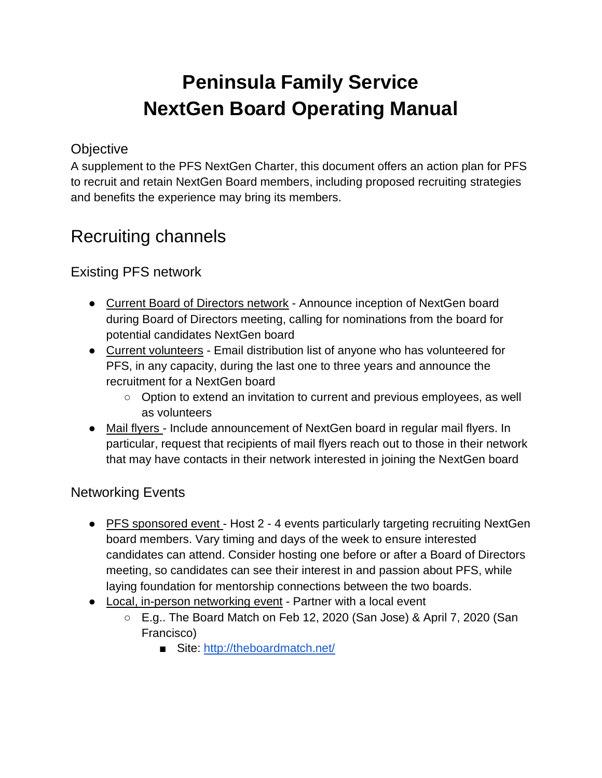# **Peninsula Family Service NextGen Board Operating Manual**

# **Objective**

A supplement to the PFS NextGen Charter, this document offers an action plan for PFS to recruit and retain NextGen Board members, including proposed recruiting strategies and benefits the experience may bring its members.

# Recruiting channels

# Existing PFS network

- Current Board of Directors network Announce inception of NextGen board during Board of Directors meeting, calling for nominations from the board for potential candidates NextGen board
- Current volunteers Email distribution list of anyone who has volunteered for PFS, in any capacity, during the last one to three years and announce the recruitment for a NextGen board
	- Option to extend an invitation to current and previous employees, as well as volunteers
- Mail flyers Include announcement of NextGen board in regular mail flyers. In particular, request that recipients of mail flyers reach out to those in their network that may have contacts in their network interested in joining the NextGen board

# Networking Events

- PFS sponsored event Host 2 4 events particularly targeting recruiting NextGen board members. Vary timing and days of the week to ensure interested candidates can attend. Consider hosting one before or after a Board of Directors meeting, so candidates can see their interest in and passion about PFS, while laying foundation for mentorship connections between the two boards.
- Local, in-person networking event Partner with a local event
	- E.g.. The Board Match on Feb 12, 2020 (San Jose) & April 7, 2020 (San Francisco)
		- Site:<http://theboardmatch.net/>